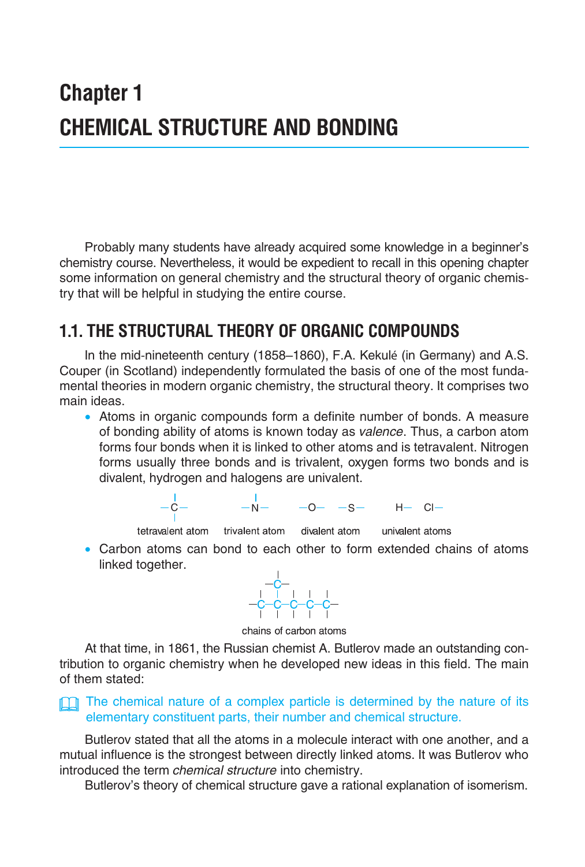# **Chapter 1 CHEMICAL STRUCTURE AND BONDING**

Probably many students have already acquired some knowledge in a beginner's chemistry course. Nevertheless, it would be expedient to recall in this opening chapter some information on general chemistry and the structural theory of organic chemistry that will be helpful in studying the entire course.

# **1.1. THE STRUCTURAL THEORY OF ORGANIC COMPOUNDS**

In the mid-nineteenth century (1858–1860), F.A. Kekulé (in Germany) and A.S. Couper (in Scotland) independently formulated the basis of one of the most fundamental theories in modern organic chemistry, the structural theory. It comprises two main ideas.

 • Atoms in organic compounds form a definite number of bonds. A measure of bonding ability of atoms is known today as *valence*. Thus, a carbon atom forms four bonds when it is linked to other atoms and is tetravalent. Nitrogen forms usually three bonds and is trivalent, oxygen forms two bonds and is divalent, hydrogen and halogens are univalent.

$$
-\frac{1}{C} - \qquad \qquad -N - \qquad \qquad -O - \qquad \mathsf{--S} - \qquad \qquad H - \qquad \mathsf{Cl} -
$$

tetravalent atom trivalent atom

divalent atom

univalent atoms

 • Carbon atoms can bond to each other to form extended chains of atoms linked together.



chains of carbon atoms

At that time, in 1861, the Russian chemist A. Butlerov made an outstanding contribution to organic chemistry when he developed new ideas in this field. The main of them stated:

#### **The chemical nature of a complex particle is determined by the nature of its** elementary constituent parts, their number and chemical structure.

Butlerov stated that all the atoms in a molecule interact with one another, and a mutual influence is the strongest between directly linked atoms. It was Butlerov who introduced the term *chemical structure* into chemistry.

Butlerov's theory of chemical structure gave a rational explanation of isomerism.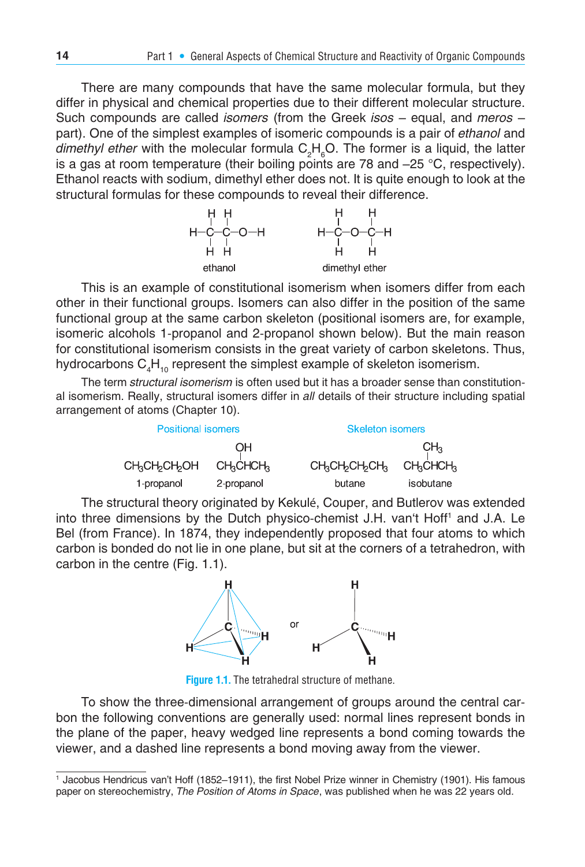There are many compounds that have the same molecular formula, but they differ in physical and chemical properties due to their different molecular structure. Such compounds are called *isomers* (from the Greek *isos* – equal, and *meros* – part). One of the simplest examples of isomeric compounds is a pair of *ethanol* and dimethyl ether with the molecular formula C<sub>2</sub>H<sub>6</sub>O. The former is a liquid, the latter is a gas at room temperature (their boiling points are 78 and –25 °С, respectively). Ethanol reacts with sodium, dimethyl ether does not. It is quite enough to look at the structural formulas for these compounds to reveal their difference.



This is an example of constitutional isomerism when isomers differ from each other in their functional groups. Isomers can also differ in the position of the same functional group at the same carbon skeleton (positional isomers are, for example, isomeric alcohols 1-propanol and 2-propanol shown below). But the main reason for constitutional isomerism consists in the great variety of carbon skeletons. Thus, hydrocarbons  $\mathsf{C}_4\mathsf{H}_{_{10}}$  represent the simplest example of skeleton isomerism.

The term *structural isomerism* is often used but it has a broader sense than constitutional isomerism. Really, structural isomers differ in *all* details of their structure including spatial arrangement of atoms (Chapter 10).

| <b>Positional isomers</b>                           |                                   | <b>Skeleton isomers</b>                         |                                   |  |
|-----------------------------------------------------|-----------------------------------|-------------------------------------------------|-----------------------------------|--|
|                                                     | OН                                |                                                 | CH <sub>3</sub>                   |  |
| <b>CH<sub>2</sub>CH<sub>2</sub>CH<sub>2</sub>OH</b> | CH <sub>2</sub> CHCH <sub>2</sub> | CH <sub>3</sub> CH <sub>2</sub> CH <sub>3</sub> | CH <sub>2</sub> CHCH <sub>3</sub> |  |
| 1-propanol                                          | 2-propanol                        | butane                                          | isobutane                         |  |

The structural theory originated by Kekulé, Couper, and Butlerov was extended into three dimensions by the Dutch physico-chemist J.H. van't Hoff<sup>1</sup> and J.A. Le Bel (from France). In 1874, they independently proposed that four atoms to which carbon is bonded do not lie in one plane, but sit at the corners of a tetrahedron, with carbon in the centre (Fig. 1.1).



**Figure 1.1.** The tetrahedral structure of methane.

To show the three-dimensional arrangement of groups around the central carbon the following conventions are generally used: normal lines represent bonds in the plane of the paper, heavy wedged line represents a bond coming towards the viewer, and a dashed line represents a bond moving away from the viewer.

<sup>1</sup> Jacobus Hendricus van't Hoff (1852–1911), the first Nobel Prize winner in Chemistry (1901). His famous paper on stereochemistry, *The Position of Atoms in Space*, was published when he was 22 years old.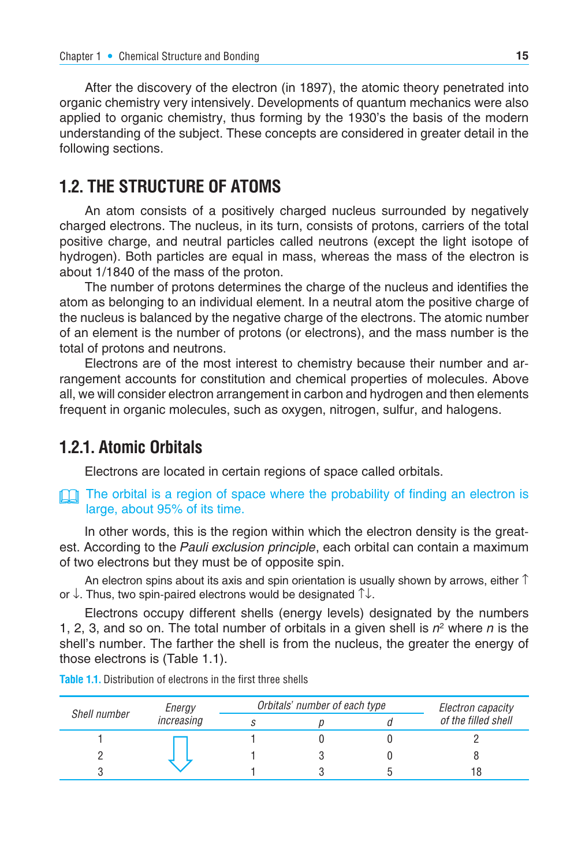After the discovery of the electron (in 1897), the atomic theory penetrated into organic chemistry very intensively. Developments of quantum mechanics were also applied to organic chemistry, thus forming by the 1930's the basis of the modern understanding of the subject. These concepts are considered in greater detail in the following sections.

#### **1.2. THE STRUCTURE OF ATOMS**

An atom consists of a positively charged nucleus surrounded by negatively charged electrons. The nucleus, in its turn, consists of protons, carriers of the total positive charge, and neutral particles called neutrons (except the light isotope of hydrogen). Both particles are equal in mass, whereas the mass of the electron is about 1/1840 of the mass of the proton.

The number of protons determines the charge of the nucleus and identifies the atom as belonging to an individual element. In a neutral atom the positive charge of the nucleus is balanced by the negative charge of the electrons. The atomic number of an element is the number of protons (or electrons), and the mass number is the total of protons and neutrons.

Electrons are of the most interest to chemistry because their number and arrangement accounts for constitution and chemical properties of molecules. Above all, we will consider electron arrangement in carbon and hydrogen and then elements frequent in organic molecules, such as oxygen, nitrogen, sulfur, and halogens.

#### **1.2.1. Atomic Orbitals**

Electrons are located in certain regions of space called orbitals.

The orbital is a region of space where the probability of finding an electron is large, about 95% of its time.

In other words, this is the region within which the electron density is the greatest. According to the *Pauli exclusion principle*, each orbital can contain a maximum of two electrons but they must be of opposite spin.

An electron spins about its axis and spin orientation is usually shown by arrows, either  $\uparrow$ or ↓. Thus, two spin-paired electrons would be designated ↑↓.

Electrons occupy different shells (energy levels) designated by the numbers 1, 2, 3, and so on. The total number of orbitals in a given shell is *n*<sup>2</sup> where *n* is the shell's number. The farther the shell is from the nucleus, the greater the energy of those electrons is (Table 1.1).

|              | Energy<br>increasing | Orbitals' number of each type | Electron capacity |                     |
|--------------|----------------------|-------------------------------|-------------------|---------------------|
| Shell number |                      |                               |                   | of the filled shell |
|              |                      |                               |                   |                     |
|              |                      |                               |                   |                     |
|              |                      |                               |                   |                     |

**Table 1.1.** Distribution of electrons in the first three shells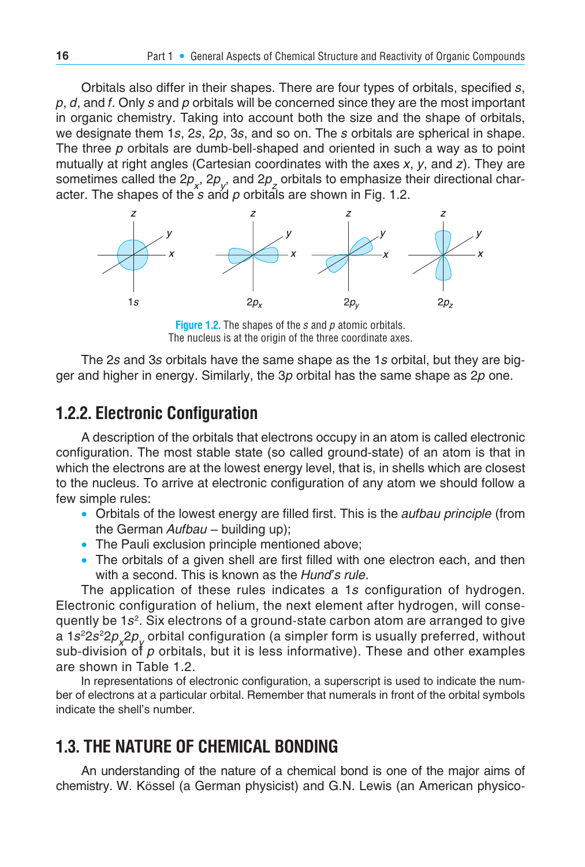Orbitals also differ in their shapes. There are four types of orbitals, specified *s*, *p*, *d*, and *f*. Only *s* and *p* orbitals will be concerned since they are the most important in organic chemistry. Taking into account both the size and the shape of orbitals, we designate them 1*s*, 2*s*, 2*p*, 3*s*, and so on. The *s* orbitals are spherical in shape. The three *p* orbitals are dumb-bell-shaped and oriented in such a way as to point mutually at right angles (Cartesian coordinates with the axes *x*, *y*, and *z*). They are sometimes called the 2*p<sub>x</sub>*, 2*p<sub>y</sub>*, and 2*p<sub>z</sub>* orbitals to emphasize their directional character. The shapes of the *s* and *p* orbitals are shown in Fig. 1.2.



**Figure 1.2.** The shapes of the *s* and *p* atomic orbitals. The nucleus is at the origin of the three coordinate axes.

The 2*s* and 3*s* orbitals have the same shape as the 1*s* orbital, but they are bigger and higher in energy. Similarly, the 3*p* orbital has the same shape as 2*p* one.

#### **1.2.2. Electronic Configuration**

A description of the orbitals that electrons occupy in an atom is called electronic configuration. The most stable state (so called ground-state) of an atom is that in which the electrons are at the lowest energy level, that is, in shells which are closest to the nucleus. To arrive at electronic configuration of any atom we should follow a few simple rules:

- Orbitals of the lowest energy are filled first. This is the *aufbau principle* (from the German *Aufbau* – building up);
- The Pauli exclusion principle mentioned above;
- The orbitals of a given shell are first filled with one electron each, and then with a second. This is known as the *Hund's rule*.

The application of these rules indicates a 1*s* configuration of hydrogen. Electronic configuration of helium, the next element after hydrogen, will consequently be 1*s*2. Six electrons of a ground-state carbon atom are arranged to give a 1*s*<sup>2</sup>2*p<sub>x</sub>*2*p<sub>y</sub>* orbital configuration (a simpler form is usually preferred, without sub-division of *p* orbitals, but it is less informative). These and other examples are shown in Table 1.2.

In representations of electronic configuration, a superscript is used to indicate the number of electrons at a particular orbital. Remember that numerals in front of the orbital symbols indicate the shell's number.

# **1.3. THE NATURE OF CHEMICAL BONDING**

An understanding of the nature of a chemical bond is one of the major aims of chemistry. W. Kössel (a German physicist) and G.N. Lewis (an American physico-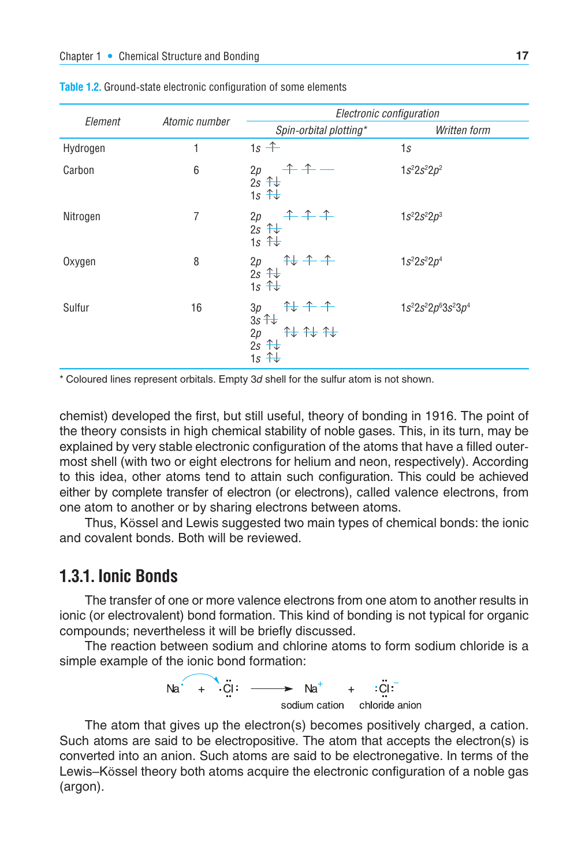|          | Atomic number | Electronic configuration                                                           |                                  |  |  |
|----------|---------------|------------------------------------------------------------------------------------|----------------------------------|--|--|
| Element  |               | Spin-orbital plotting*                                                             | Written form                     |  |  |
| Hydrogen | 1             | $1s +$                                                                             | 1s                               |  |  |
| Carbon   | 6             | $+ +$<br>2p<br>$2s + \frac{1}{x}$<br>1s $\hat{+}$                                  | $1s^22s^22p^2$                   |  |  |
| Nitrogen | 7             | $+ + +$<br>2p<br>$2s + \frac{1}{2}$<br>1s $\hat{+}$                                | $1s^22s^22p^3$                   |  |  |
| Oxygen   | 8             | $7+7$<br>2p<br>$2s + \frac{1}{2}$<br>1s $\hat{+}$                                  | $1s^22s^22p^4$                   |  |  |
| Sulfur   | 16            | $\ddagger + \ddagger +$<br>3p<br>$3s + 1$<br>###<br>2p<br>$2s + 1$<br>1s $\hat{+}$ | $1s^{2}2s^{2}2p^{6}3s^{2}3p^{4}$ |  |  |

**Table 1.2.** Ground-state electronic configuration of some elements

\* Coloured lines represent orbitals. Empty 3*d* shell for the sulfur atom is not shown.

chemist) developed the first, but still useful, theory of bonding in 1916. The point of the theory consists in high chemical stability of noble gases. This, in its turn, may be explained by very stable electronic configuration of the atoms that have a filled outermost shell (with two or eight electrons for helium and neon, respectively). According to this idea, other atoms tend to attain such configuration. This could be achieved either by complete transfer of electron (or electrons), called valence electrons, from one atom to another or by sharing electrons between atoms.

Thus, Kössel and Lewis suggested two main types of chemical bonds: the ionic and covalent bonds. Both will be reviewed.

#### **1.3.1. Ionic Bonds**

The transfer of one or more valence electrons from one atom to another results in ionic (or electrovalent) bond formation. This kind of bonding is not typical for organic compounds; nevertheless it will be briefly discussed.

The reaction between sodium and chlorine atoms to form sodium chloride is a simple example of the ionic bond formation:



The atom that gives up the electron(s) becomes positively charged, a cation. Such atoms are said to be electropositive. The atom that accepts the electron(s) is converted into an anion. Such atoms are said to be electronegative. In terms of the Lewis–Kössel theory both atoms acquire the electronic configuration of a noble gas (argon).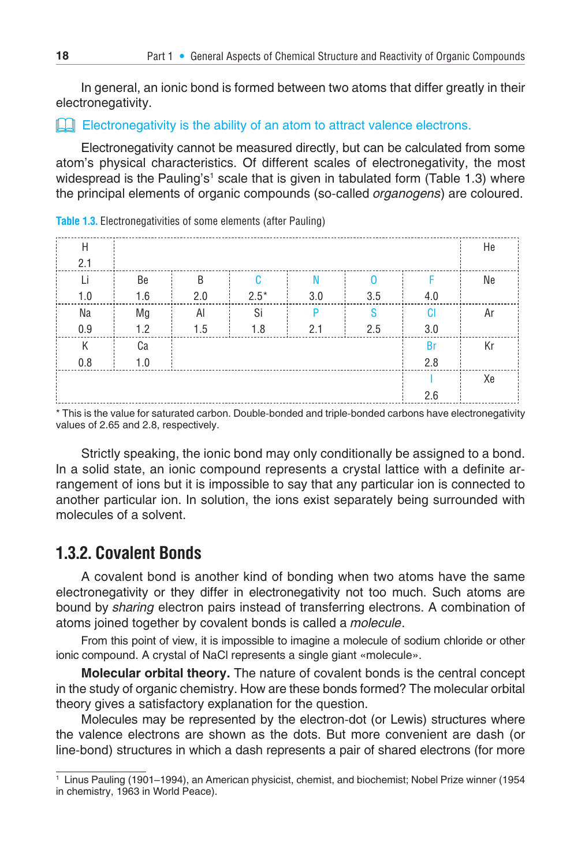In general, an ionic bond is formed between two atoms that differ greatly in their electronegativity.

#### **Example 2** Electronegativity is the ability of an atom to attract valence electrons.

Electronegativity cannot be measured directly, but can be calculated from some atom's physical characteristics. Of different scales of electronegativity, the most widespread is the Pauling's' scale that is given in tabulated form (Table 1.3) where the principal elements of organic compounds (so-called *organogens*) are coloured.

| H   |     |              |        |     |     |           | He |
|-----|-----|--------------|--------|-----|-----|-----------|----|
| 2.1 |     |              |        |     |     |           |    |
| Li  | Be  | <sub>B</sub> | C      | N   | n   |           | Ne |
| 1.0 | 1.6 | 2.0          | $2.5*$ | 3.0 | 3.5 | 4.0       |    |
| Na  | Mg  | Al           | Si     | P   | S   | <b>CI</b> | Ar |
| 0.9 | 1.2 | 1.5          | 1.8    | 2.1 | 2.5 | 3.0       |    |
| K   | Ca  |              |        |     |     | <b>Br</b> | Кr |
| 0.8 | 1.0 |              |        |     |     | 2.8       |    |
|     |     |              |        |     |     |           | Xe |
|     |     |              |        |     |     | 2.6       |    |

**Table 1.3.** Electronegativities of some elements (after Pauling)

This is the value for saturated carbon. Double-bonded and triple-bonded carbons have electronegativity values of 2.65 and 2.8, respectively.

Strictly speaking, the ionic bond may only conditionally be assigned to a bond. In a solid state, an ionic compound represents a crystal lattice with a definite arrangement of ions but it is impossible to say that any particular ion is connected to another particular ion. In solution, the ions exist separately being surrounded with molecules of a solvent.

#### **1.3.2. Covalent Bonds**

A covalent bond is another kind of bonding when two atoms have the same electronegativity or they differ in electronegativity not too much. Such atoms are bound by *sharing* electron pairs instead of transferring electrons. A combination of atoms joined together by covalent bonds is called a *molecule*.

From this point of view, it is impossible to imagine a molecule of sodium chloride or other ionic compound. A crystal of NaCl represents a single giant «molecule».

**Molecular orbital theory.** The nature of covalent bonds is the central concept in the study of organic chemistry. How are these bonds formed? The molecular orbital theory gives a satisfactory explanation for the question.

Molecules may be represented by the electron-dot (or Lewis) structures where the valence electrons are shown as the dots. But more convenient are dash (or line-bond) structures in which a dash represents a pair of shared electrons (for more

<sup>1</sup> Linus Pauling (1901–1994), an American physicist, chemist, and biochemist; Nobel Prize winner (1954 in chemistry, 1963 in World Peace).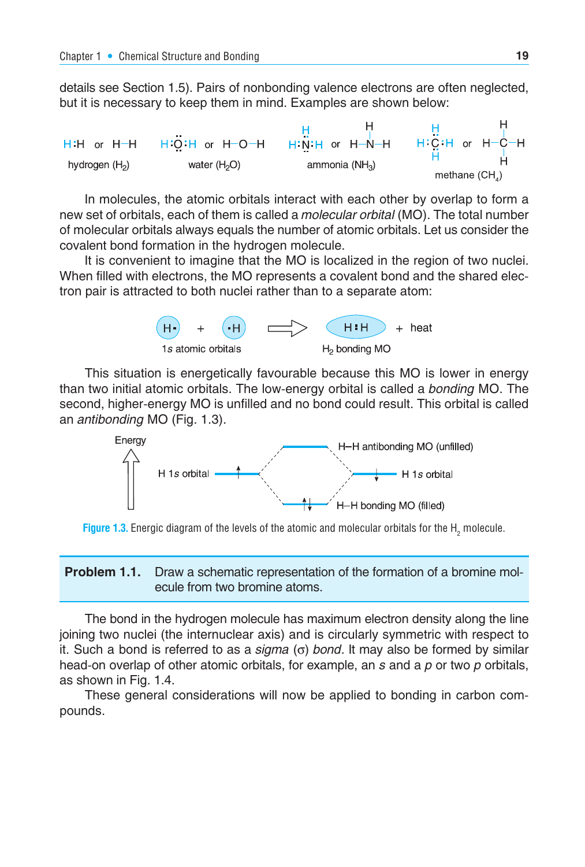details see Section 1.5). Pairs of nonbonding valence electrons are often neglected, but it is necessary to keep them in mind. Examples are shown below:



In molecules, the atomic orbitals interact with each other by overlap to form a new set of orbitals, each of them is called a *molecular orbital* (MO). The total number of molecular orbitals always equals the number of atomic orbitals. Let us consider the covalent bond formation in the hydrogen molecule.

It is convenient to imagine that the MO is localized in the region of two nuclei. When filled with electrons, the MO represents a covalent bond and the shared electron pair is attracted to both nuclei rather than to a separate atom:



This situation is energetically favourable because this MO is lower in energy than two initial atomic orbitals. The low-energy orbital is called a *bonding* MO. The second, higher-energy MO is unfilled and no bond could result. This orbital is called an *antibonding* MO (Fig. 1.3).



**Figure 1.3.** Energic diagram of the levels of the atomic and molecular orbitals for the  $\textsf{H}_{_2}$  molecule.

**Problem 1.1.** Draw a schematic representation of the formation of a bromine molecule from two bromine atoms.

The bond in the hydrogen molecule has maximum electron density along the line joining two nuclei (the internuclear axis) and is circularly symmetric with respect to it. Such a bond is referred to as a *sigma* (σ) *bond*. It may also be formed by similar head-on overlap of other atomic orbitals, for example, an *s* and a *p* or two *p* orbitals, as shown in Fig. 1.4.

These general considerations will now be applied to bonding in carbon compounds.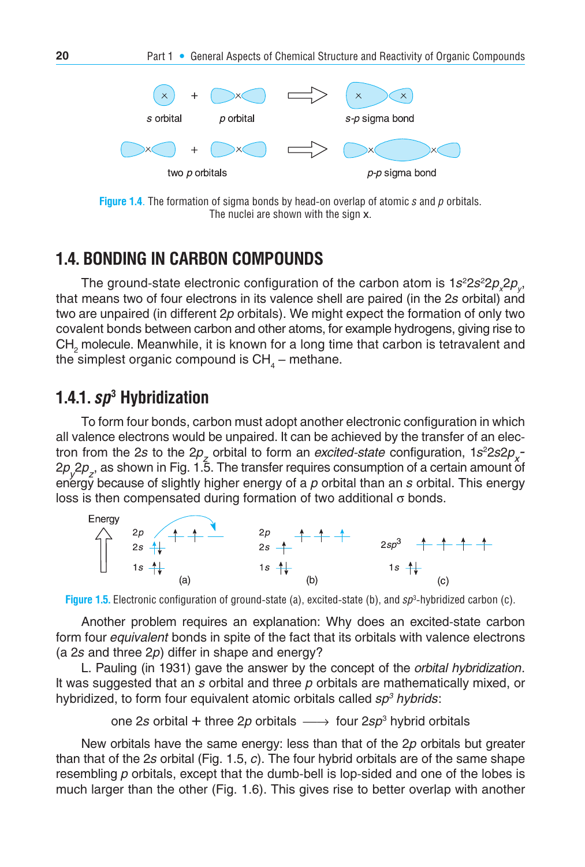

**Figure 1.4**. The formation of sigma bonds by head-on overlap of atomic *s* and *p* orbitals. The nuclei are shown with the sign x.

#### **1.4. BONDING IN CARBON COMPOUNDS**

The ground-state electronic configuration of the carbon atom is  $1s^22s^22p_{\chi}2p_{\chi}$ that means two of four electrons in its valence shell are paired (in the 2*s* orbital) and two are unpaired (in different 2*p* orbitals). We might expect the formation of only two covalent bonds between carbon and other atoms, for example hydrogens, giving rise to  $\textsf{CH}_2$  molecule. Meanwhile, it is known for a long time that carbon is tetravalent and the simplest organic compound is  $\mathsf{CH}_{_4}\mathsf{-}$  methane.

#### **1.4.1.** *sp***<sup>3</sup> Hybridization**

To form four bonds, carbon must adopt another electronic configuration in which all valence electrons would be unpaired. It can be achieved by the transfer of an electron from the 2*s* to the 2*p<sub>z</sub>* orbital to form an *excited-state* configuration,  $1s^2 2s2p_x$ 2*p<sub>y</sub>* 2*p<sub>z</sub>*, as shown in Fig. 1.5. The transfer requires consumption of a certain amount of energy because of slightly higher energy of a p orbital than an *s* orbital. This energy loss is then compensated during formation of two additional σ bonds.



**Figure 1.5.** Electronic configuration of ground-state (a), excited-state (b), and *sp*<sup>3</sup> -hybridized carbon (c).

Another problem requires an explanation: Why does an excited-state carbon form four *equivalent* bonds in spite of the fact that its orbitals with valence electrons (a 2*s* and three 2*p*) differ in shape and energy?

L. Pauling (in 1931) gave the answer by the concept of the *orbital hybridization*. It was suggested that an *s* orbital and three *p* orbitals are mathematically mixed, or hybridized, to form four equivalent atomic orbitals called *sp3 hybrids*:

one 2*s* orbital + three 2*p* orbitals → four 2*sp*<sup>3</sup> hybrid orbitals

New orbitals have the same energy: less than that of the 2*p* orbitals but greater than that of the 2*s* orbital (Fig. 1.5, *c*). The four hybrid orbitals are of the same shape resembling *p* orbitals, except that the dumb-bell is lop-sided and one of the lobes is much larger than the other (Fig. 1.6). This gives rise to better overlap with another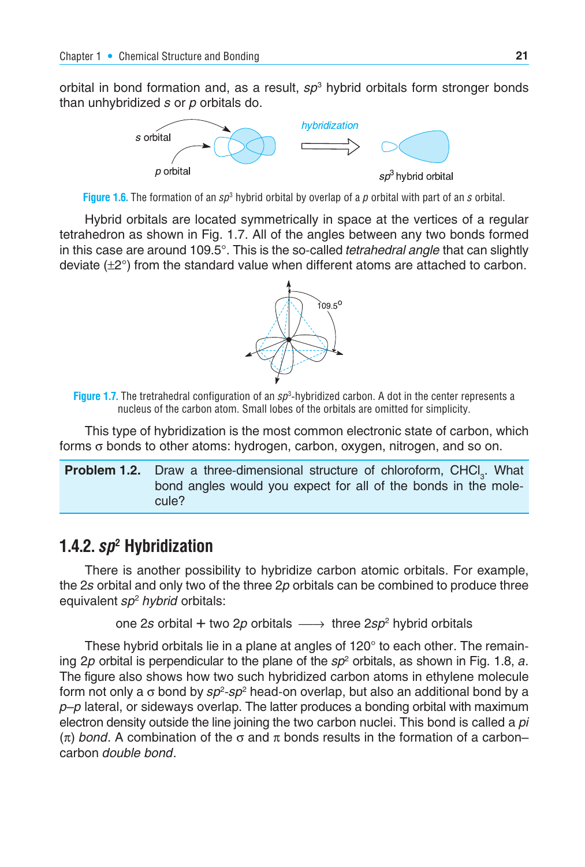orbital in bond formation and, as a result, *sp*<sup>3</sup> hybrid orbitals form stronger bonds than unhybridized *s* or *p* orbitals do.





Hybrid orbitals are located symmetrically in space at the vertices of a regular tetrahedron as shown in Fig. 1.7. All of the angles between any two bonds formed in this case are around 109.5°. This is the so-called *tetrahedral angle* that can slightly deviate  $(\pm 2^{\circ})$  from the standard value when different atoms are attached to carbon.



**Figure 1.7.** The tretrahedral configuration of an *sp*<sup>3</sup> -hybridized carbon. A dot in the center represents a nucleus of the carbon atom. Small lobes of the orbitals are omitted for simplicity.

This type of hybridization is the most common electronic state of carbon, which forms σ bonds to other atoms: hydrogen, carbon, oxygen, nitrogen, and so on.

**Problem 1.2.** Draw a three-dimensional structure of chloroform, CHCl<sub>3</sub>. What bond angles would you expect for all of the bonds in the molecule?

## **1.4.2.** *sp***<sup>2</sup> Hybridization**

There is another possibility to hybridize carbon atomic orbitals. For example, the 2*s* orbital and only two of the three 2*p* orbitals can be combined to produce three equivalent *sp*<sup>2</sup> *hybrid* orbitals:

one 2s orbital + two 2p orbitals → three 2sp<sup>2</sup> hybrid orbitals

These hybrid orbitals lie in a plane at angles of 120° to each other. The remaining 2p orbital is perpendicular to the plane of the sp<sup>2</sup> orbitals, as shown in Fig. 1.8, *a*. The figure also shows how two such hybridized carbon atoms in ethylene molecule form not only a σ bond by *sp*<sup>2</sup> -*sp*<sup>2</sup> head-on overlap, but also an additional bond by a *p*–*p* lateral, or sideways overlap. The latter produces a bonding orbital with maximum electron density outside the line joining the two carbon nuclei. This bond is called a *pi* (π) *bond*. A combination of the σ and π bonds results in the formation of a carbon– carbon *double bond*.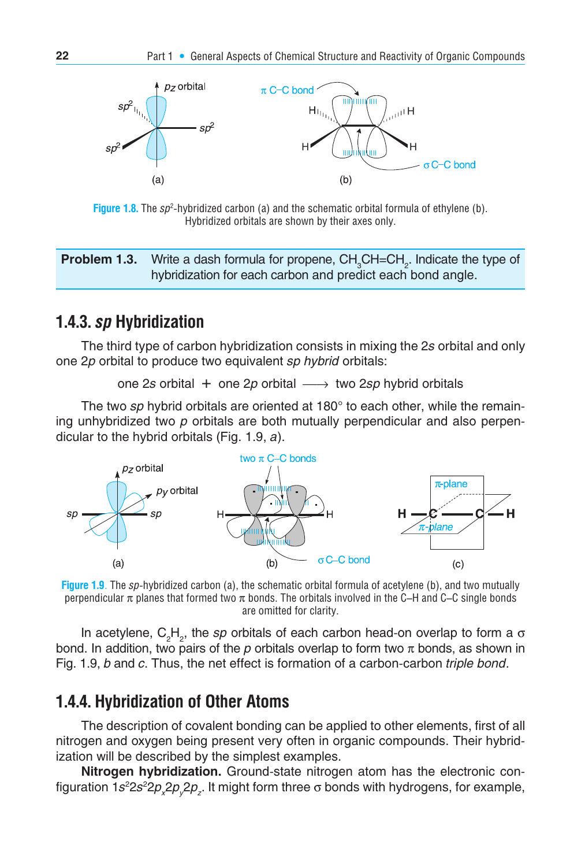

**Figure 1.8.** The sp<sup>2</sup>-hybridized carbon (a) and the schematic orbital formula of ethylene (b). Hybridized orbitals are shown by their axes only.

**Problem 1.3.** Write a dash formula for propene, CH<sub>3</sub>CH=CH<sub>2</sub>. Indicate the type of hybridization for each carbon and predict each bond angle.

#### **1.4.3.** *sp* **Hybridization**

The third type of carbon hybridization consists in mixing the 2*s* orbital and only one 2*p* orbital to produce two equivalent *sp hybrid* orbitals:

one 2*s* orbital + one 2*p* orbital ⎯→ two 2*sp* hybrid orbitals

The two *sp* hybrid orbitals are oriented at 180° to each other, while the remaining un hybridized two *p* orbitals are both mutually perpendicular and also perpendicular to the hybrid orbitals (Fig. 1.9, *a*).



**Figure 1.9**. The *sp*-hybridized carbon (a), the schematic orbital formula of acetylene (b), and two mutually perpendicular π planes that formed two π bonds. The orbitals involved in the C–H and C–C single bonds are omitted for clarity.

In acetylene, C<sub>2</sub>H<sub>2</sub>, the *sp* orbitals of each carbon head-on overlap to form a σ bond. In addition, two pairs of the  $p$  orbitals overlap to form two  $\pi$  bonds, as shown in Fig. 1.9, *b* and *c*. Thus, the net effect is formation of a carbon-carbon *triple bond*.

#### **1.4.4. Hybridization of Other Atoms**

The description of covalent bonding can be applied to other elements, first of all nitrogen and oxygen being present very often in organic compounds. Their hybridization will be described by the simplest examples.

**Nitrogen hybridization.** Ground-state nitrogen atom has the electronic configuration 1*s<sup>2</sup>*2*s*<sup>2</sup>2*p<sub>x</sub>*2*p<sub>y</sub>*2*p<sub>z</sub>*. It might form three σ bonds with hydrogens, for example,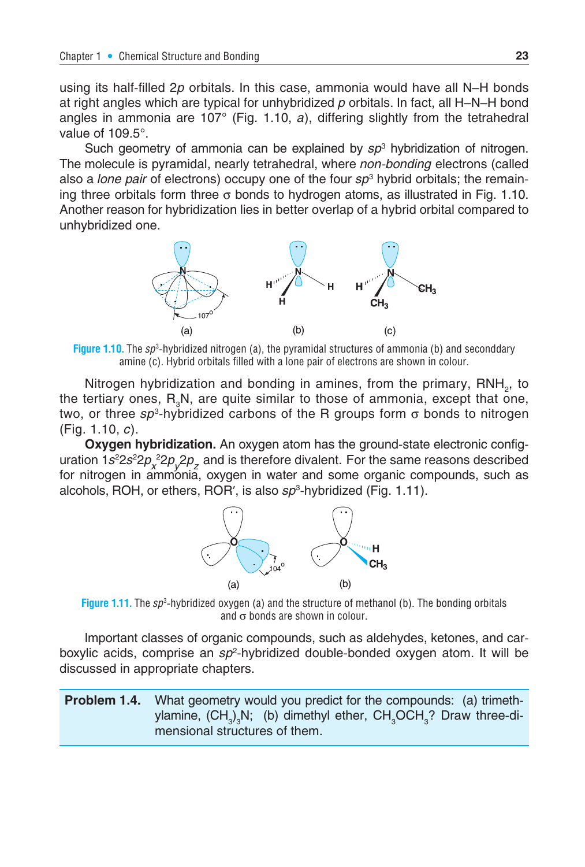using its half-filled 2*p* orbitals. In this case, ammonia would have all N–H bonds at right angles which are typical for unhybridized *p* orbitals. In fact, all H–N–H bond angles in ammonia are 107° (Fig. 1.10, *a*), differing slightly from the tetrahedral value of 109.5°.

Such geometry of ammonia can be explained by *sp*<sup>3</sup> hybridization of nitrogen. The molecule is pyramidal, nearly tetrahedral, where *non-bonding* electrons (called also a *lone pair* of electrons) occupy one of the four *sp*<sup>3</sup> hybrid orbitals; the remaining three orbitals form three  $\sigma$  bonds to hydrogen atoms, as illustrated in Fig. 1.10. Another reason for hybridization lies in better overlap of a hybrid orbital compared to unhybridized one.



**Figure 1.10.** The *sp*<sup>3</sup> -hybridized nitrogen (a), the pyramidal structures of ammonia (b) and seconddary amine (c). Hybrid orbitals filled with a lone pair of electrons are shown in colour.

Nitrogen hybridization and bonding in amines, from the primary, RNH<sub>2</sub>, to the tertiary ones,  $R_{a}N$ , are quite similar to those of ammonia, except that one, two, or three  $sp^3$ -hybridized carbons of the R groups form  $\sigma$  bonds to nitrogen (Fig. 1.10, *c*).

**Oxygen hybridization.** An oxygen atom has the ground-state electronic configuration 1*s*<sup>2</sup>2*s*<sup>2</sup>2*p<sub>x</sub>*<sup>2</sup>*p<sub>y</sub>*2*p<sub>z</sub>* and is therefore divalent. For the same reasons described for nitrogen in ammonia, oxygen in water and some organic compounds, such as alcohols, ROH, or ethers, ROR', is also *sp*<sup>3</sup>-hybridized (Fig. 1.11).



**Figure 1.11.** The *sp*<sup>3</sup> -hybridized oxygen (a) and the structure of methanol (b). The bonding orbitals and  $\sigma$  bonds are shown in colour.

Important classes of organic compounds, such as aldehydes, ketones, and carboxylic acids, comprise an *sp*<sup>2</sup> -hybridized double-bonded oxygen atom. It will be discussed in appropriate chapters.

**Problem 1.4.** What geometry would you predict for the compounds: (a) trimethylamine, (CH<sub>3</sub>)<sub>3</sub>N; (b) dimethyl ether, CH<sub>3</sub>OCH<sub>3</sub>? Draw three-dimensional structures of them.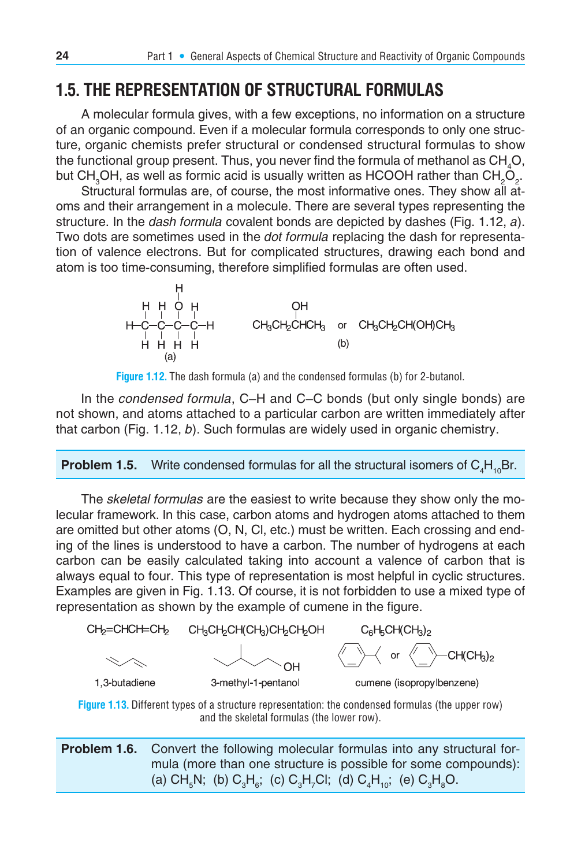## **1.5. THE REPRESENTATION OF STRUCTURAL FORMULAS**

A molecular formula gives, with a few exceptions, no information on a structure of an organic compound. Even if a molecular formula corresponds to only one structure, organic chemists prefer structural or condensed structural formulas to show the functional group present. Thus, you never find the formula of methanol as  $\text{CH}_4\text{O},$ but CH $_{3}$ OH, as well as formic acid is usually written as HCOOH rather than CH $_{2}$ O<sub>2</sub>.

Structural formulas are, of course, the most informative ones. They show all atoms and their arrangement in a molecule. There are several types representing the structure. In the *dash formula* covalent bonds are depicted by dashes (Fig. 1.12, *a*). Two dots are sometimes used in the *dot formula* replacing the dash for representation of valence electrons. But for complicated structures, drawing each bond and atom is too time-consuming, therefore simplified formulas are often used.

$$
\begin{array}{cccc}\nH & H & \downarrow & H \\
H & H & O & H \\
H & -C & -C & -H \\
H & H & H & H\n\end{array}
$$
\n
$$
\begin{array}{cccc}\nCH_3CH_2CHCH_3 & \text{or} & CH_3CH_2CH(OH)CH_3 \\
H & H & H & H \\
H & H & H\n\end{array}
$$
\n
$$
\begin{array}{cccc}\nH_1 & H_2 & \downarrow & H_3 \\
H_1 & H_2 & H_3 & H_4 \\
\end{array}
$$



In the *condensed formula*, C–H and C–C bonds (but only single bonds) are not shown, and atoms attached to a particular carbon are written immediately after that carbon (Fig. 1.12, *b*). Such formulas are widely used in organic chemistry.

#### **Problem 1.5.** Write condensed formulas for all the structural isomers of  $C_4H_{10}Br$ .

The *skeletal formulas* are the easiest to write because they show only the molecular framework. In this case, carbon atoms and hydrogen atoms attached to them are omitted but other atoms (O, N, Cl, etc.) must be written. Each crossing and ending of the lines is understood to have a carbon. The number of hydrogens at each carbon can be easily calculated taking into account a valence of carbon that is always equal to four. This type of representation is most helpful in cyclic structures. Examples are given in Fig. 1.13. Of course, it is not forbidden to use a mixed type of representation as shown by the example of cumene in the figure.





| <b>Problem 1.6.</b> Convert the following molecular formulas into any structural for-                                                                                |
|----------------------------------------------------------------------------------------------------------------------------------------------------------------------|
| mula (more than one structure is possible for some compounds):                                                                                                       |
| (a) CH <sub><sub>5</sub>N; (b) C<sub>3</sub>H<sub>6</sub>; (c) C<sub>3</sub>H<sub>7</sub>Cl; (d) C<sub>4</sub>H<sub>10</sub>; (e) C<sub>3</sub>H<sub>6</sub>O.</sub> |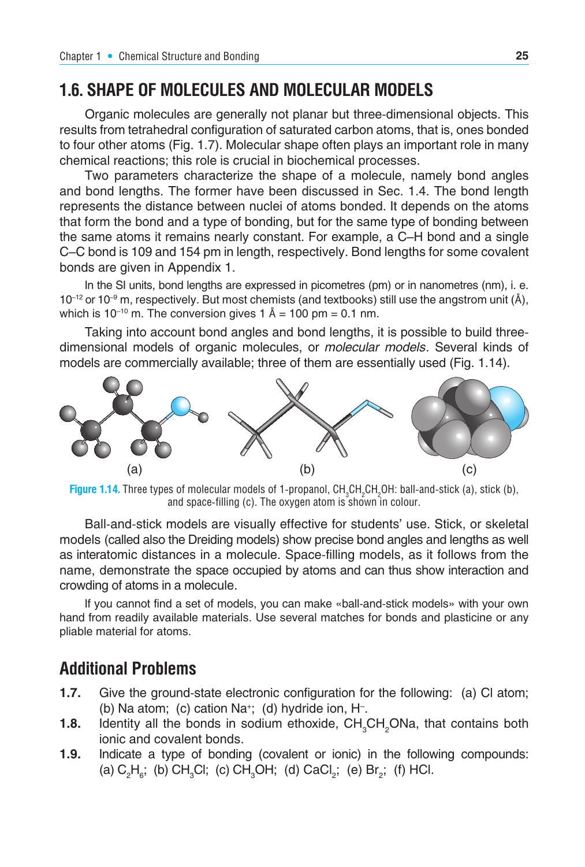## **1.6. SHAPE OF MOLECULES AND MOLECULAR MODELS**

Organic molecules are generally not planar but three-dimensional objects. This results from tetrahedral configuration of saturated carbon atoms, that is, ones bonded to four other atoms (Fig. 1.7). Molecular shape often plays an important role in many chemical reactions; this role is crucial in biochemical processes.

Two parameters characterize the shape of a molecule, namely bond angles and bond lengths. The former have been discussed in Sec. 1.4. The bond length represents the distance between nuclei of atoms bonded. It depends on the atoms that form the bond and a type of bonding, but for the same type of bonding between the same atoms it remains nearly constant. For example, a C–H bond and a single C–C bond is 109 and 154 pm in length, respectively. Bond lengths for some covalent bonds are given in Appendix 1.

In the SI units, bond lengths are expressed in picometres (pm) or in nanometres (nm), i. e.  $10^{-12}$  or  $10^{-9}$  m, respectively. But most chemists (and textbooks) still use the angstrom unit (Å), which is 10<sup>-10</sup> m. The conversion gives 1 Å = 100 pm = 0.1 nm.

Taking into account bond angles and bond lengths, it is possible to build threedimen sional models of organic molecules, or *molecular models*. Several kinds of models are commercially available; three of them are essentially used (Fig. 1.14).



**Figure 1.14.** Three types of molecular models of 1-propanol,  $CH_3CH_2CH_2OH$ : ball-and-stick (a), stick (b), and space-filling (c). The oxygen atom is shown in colour.

Ball-and-stick models are visually effective for students' use. Stick, or skeletal models (called also the Dreiding models) show precise bond angles and lengths as well as interatomic distances in a molecule. Space-filling models, as it follows from the name, demonstrate the space occupied by atoms and can thus show interaction and crowding of atoms in a molecule.

If you cannot find a set of models, you can make «ball-and-stick models» with your own hand from readily available materials. Use several matches for bonds and plasticine or any pliable material for atoms.

#### **Additional Problems**

- **1.7.** Give the ground-state electronic configuration for the following: (a) Cl atom; (b) Na atom; (c) cation Na+; (d) hydride ion, H– .
- **1.8.** Identity all the bonds in sodium ethoxide, CH<sub>3</sub>CH<sub>2</sub>ONa, that contains both ionic and covalent bonds.
- **1.9.** Indicate a type of bonding (covalent or ionic) in the following compounds: (a)  $C_2H_g$ ; (b) CH<sub>3</sub>Cl; (c) CH<sub>3</sub>OH; (d) CaCl<sub>2</sub>; (e) Br<sub>2</sub>; (f) HCl.